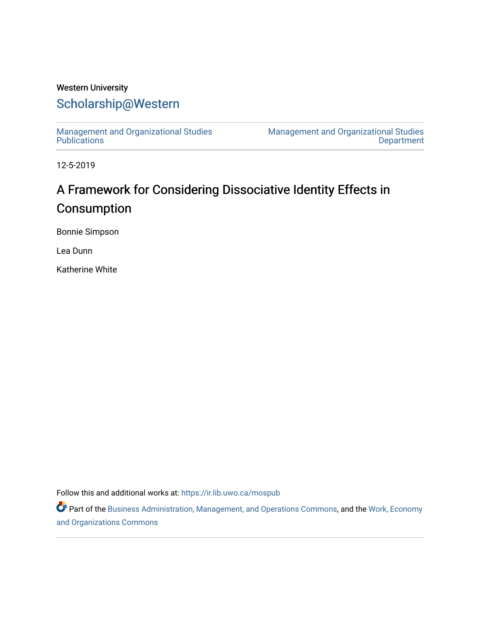# Western University [Scholarship@Western](https://ir.lib.uwo.ca/)

[Management and Organizational Studies](https://ir.lib.uwo.ca/mospub)  **Publications** 

[Management and Organizational Studies](https://ir.lib.uwo.ca/mos)  [Department](https://ir.lib.uwo.ca/mos) 

12-5-2019

# A Framework for Considering Dissociative Identity Effects in Consumption

Bonnie Simpson

Lea Dunn

Katherine White

Follow this and additional works at: [https://ir.lib.uwo.ca/mospub](https://ir.lib.uwo.ca/mospub?utm_source=ir.lib.uwo.ca%2Fmospub%2F63&utm_medium=PDF&utm_campaign=PDFCoverPages) 

Part of the [Business Administration, Management, and Operations Commons](http://network.bepress.com/hgg/discipline/623?utm_source=ir.lib.uwo.ca%2Fmospub%2F63&utm_medium=PDF&utm_campaign=PDFCoverPages), and the Work, Economy [and Organizations Commons](http://network.bepress.com/hgg/discipline/433?utm_source=ir.lib.uwo.ca%2Fmospub%2F63&utm_medium=PDF&utm_campaign=PDFCoverPages)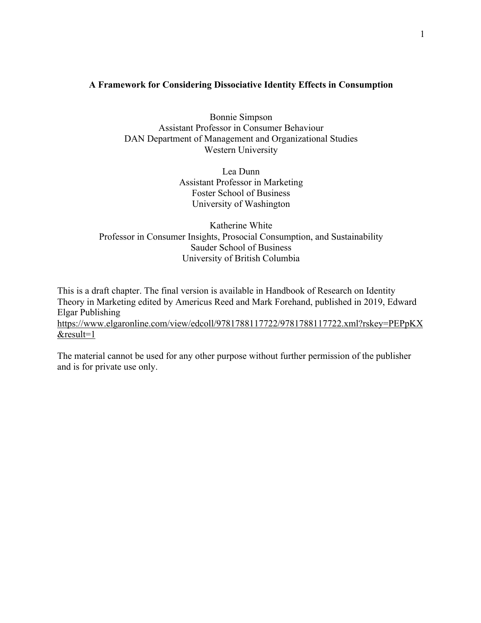### **A Framework for Considering Dissociative Identity Effects in Consumption**

Bonnie Simpson Assistant Professor in Consumer Behaviour DAN Department of Management and Organizational Studies Western University

> Lea Dunn Assistant Professor in Marketing Foster School of Business University of Washington

Katherine White Professor in Consumer Insights, Prosocial Consumption, and Sustainability Sauder School of Business University of British Columbia

This is a draft chapter. The final version is available in Handbook of Research on Identity Theory in Marketing edited by Americus Reed and Mark Forehand, published in 2019, Edward Elgar Publishing https://www.elgaronline.com/view/edcoll/9781788117722/9781788117722.xml?rskey=PEPpKX &result=1

The material cannot be used for any other purpose without further permission of the publisher and is for private use only.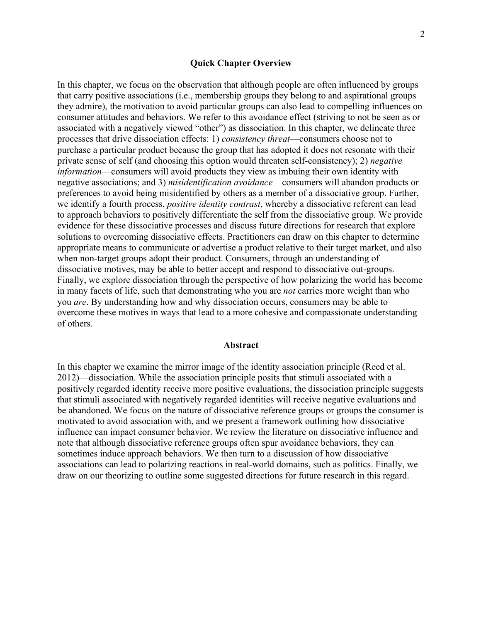#### **Quick Chapter Overview**

In this chapter, we focus on the observation that although people are often influenced by groups that carry positive associations (i.e., membership groups they belong to and aspirational groups they admire), the motivation to avoid particular groups can also lead to compelling influences on consumer attitudes and behaviors. We refer to this avoidance effect (striving to not be seen as or associated with a negatively viewed "other") as dissociation. In this chapter, we delineate three processes that drive dissociation effects: 1) *consistency threat*—consumers choose not to purchase a particular product because the group that has adopted it does not resonate with their private sense of self (and choosing this option would threaten self-consistency); 2) *negative information*—consumers will avoid products they view as imbuing their own identity with negative associations; and 3) *misidentification avoidance*—consumers will abandon products or preferences to avoid being misidentified by others as a member of a dissociative group. Further, we identify a fourth process, *positive identity contrast*, whereby a dissociative referent can lead to approach behaviors to positively differentiate the self from the dissociative group. We provide evidence for these dissociative processes and discuss future directions for research that explore solutions to overcoming dissociative effects. Practitioners can draw on this chapter to determine appropriate means to communicate or advertise a product relative to their target market, and also when non-target groups adopt their product. Consumers, through an understanding of dissociative motives, may be able to better accept and respond to dissociative out-groups. Finally, we explore dissociation through the perspective of how polarizing the world has become in many facets of life, such that demonstrating who you are *not* carries more weight than who you *are*. By understanding how and why dissociation occurs, consumers may be able to overcome these motives in ways that lead to a more cohesive and compassionate understanding of others.

#### **Abstract**

In this chapter we examine the mirror image of the identity association principle (Reed et al. 2012)—dissociation. While the association principle posits that stimuli associated with a positively regarded identity receive more positive evaluations, the dissociation principle suggests that stimuli associated with negatively regarded identities will receive negative evaluations and be abandoned. We focus on the nature of dissociative reference groups or groups the consumer is motivated to avoid association with, and we present a framework outlining how dissociative influence can impact consumer behavior. We review the literature on dissociative influence and note that although dissociative reference groups often spur avoidance behaviors, they can sometimes induce approach behaviors. We then turn to a discussion of how dissociative associations can lead to polarizing reactions in real-world domains, such as politics. Finally, we draw on our theorizing to outline some suggested directions for future research in this regard.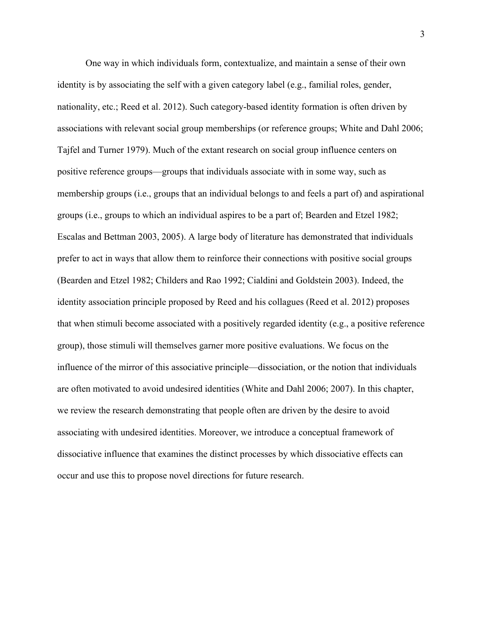One way in which individuals form, contextualize, and maintain a sense of their own identity is by associating the self with a given category label (e.g., familial roles, gender, nationality, etc.; Reed et al. 2012). Such category-based identity formation is often driven by associations with relevant social group memberships (or reference groups; White and Dahl 2006; Tajfel and Turner 1979). Much of the extant research on social group influence centers on positive reference groups—groups that individuals associate with in some way, such as membership groups (i.e., groups that an individual belongs to and feels a part of) and aspirational groups (i.e., groups to which an individual aspires to be a part of; Bearden and Etzel 1982; Escalas and Bettman 2003, 2005). A large body of literature has demonstrated that individuals prefer to act in ways that allow them to reinforce their connections with positive social groups (Bearden and Etzel 1982; Childers and Rao 1992; Cialdini and Goldstein 2003). Indeed, the identity association principle proposed by Reed and his collagues (Reed et al. 2012) proposes that when stimuli become associated with a positively regarded identity (e.g., a positive reference group), those stimuli will themselves garner more positive evaluations. We focus on the influence of the mirror of this associative principle—dissociation, or the notion that individuals are often motivated to avoid undesired identities (White and Dahl 2006; 2007). In this chapter, we review the research demonstrating that people often are driven by the desire to avoid associating with undesired identities. Moreover, we introduce a conceptual framework of dissociative influence that examines the distinct processes by which dissociative effects can occur and use this to propose novel directions for future research.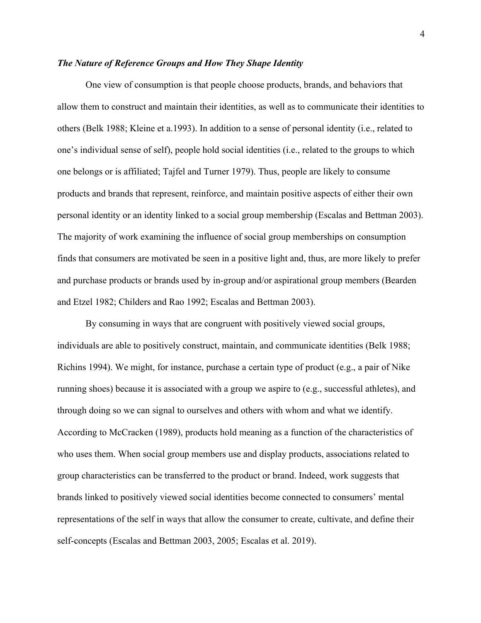#### *The Nature of Reference Groups and How They Shape Identity*

One view of consumption is that people choose products, brands, and behaviors that allow them to construct and maintain their identities, as well as to communicate their identities to others (Belk 1988; Kleine et a.1993). In addition to a sense of personal identity (i.e., related to one's individual sense of self), people hold social identities (i.e., related to the groups to which one belongs or is affiliated; Tajfel and Turner 1979). Thus, people are likely to consume products and brands that represent, reinforce, and maintain positive aspects of either their own personal identity or an identity linked to a social group membership (Escalas and Bettman 2003). The majority of work examining the influence of social group memberships on consumption finds that consumers are motivated be seen in a positive light and, thus, are more likely to prefer and purchase products or brands used by in-group and/or aspirational group members (Bearden and Etzel 1982; Childers and Rao 1992; Escalas and Bettman 2003).

By consuming in ways that are congruent with positively viewed social groups, individuals are able to positively construct, maintain, and communicate identities (Belk 1988; Richins 1994). We might, for instance, purchase a certain type of product (e.g., a pair of Nike running shoes) because it is associated with a group we aspire to (e.g., successful athletes), and through doing so we can signal to ourselves and others with whom and what we identify. According to McCracken (1989), products hold meaning as a function of the characteristics of who uses them. When social group members use and display products, associations related to group characteristics can be transferred to the product or brand. Indeed, work suggests that brands linked to positively viewed social identities become connected to consumers' mental representations of the self in ways that allow the consumer to create, cultivate, and define their self-concepts (Escalas and Bettman 2003, 2005; Escalas et al. 2019).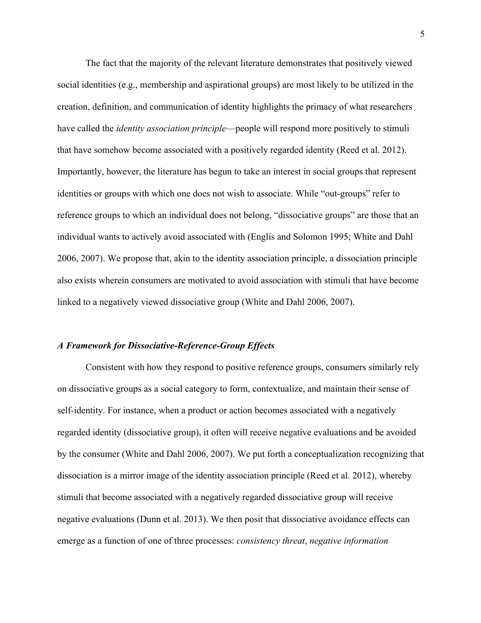The fact that the majority of the relevant literature demonstrates that positively viewed social identities (e.g., membership and aspirational groups) are most likely to be utilized in the creation, definition, and communication of identity highlights the primacy of what researchers have called the *identity association principle*—people will respond more positively to stimuli that have somehow become associated with a positively regarded identity (Reed et al. 2012). Importantly, however, the literature has begun to take an interest in social groups that represent identities or groups with which one does not wish to associate. While "out-groups" refer to reference groups to which an individual does not belong, "dissociative groups" are those that an individual wants to actively avoid associated with (Englis and Solomon 1995; White and Dahl 2006, 2007). We propose that, akin to the identity association principle, a dissociation principle also exists wherein consumers are motivated to avoid association with stimuli that have become linked to a negatively viewed dissociative group (White and Dahl 2006, 2007).

#### *A Framework for Dissociative-Reference-Group Effects*

Consistent with how they respond to positive reference groups, consumers similarly rely on dissociative groups as a social category to form, contextualize, and maintain their sense of self-identity. For instance, when a product or action becomes associated with a negatively regarded identity (dissociative group), it often will receive negative evaluations and be avoided by the consumer (White and Dahl 2006, 2007). We put forth a conceptualization recognizing that dissociation is a mirror image of the identity association principle (Reed et al. 2012), whereby stimuli that become associated with a negatively regarded dissociative group will receive negative evaluations (Dunn et al. 2013). We then posit that dissociative avoidance effects can emerge as a function of one of three processes: *consistency threat*, *negative information*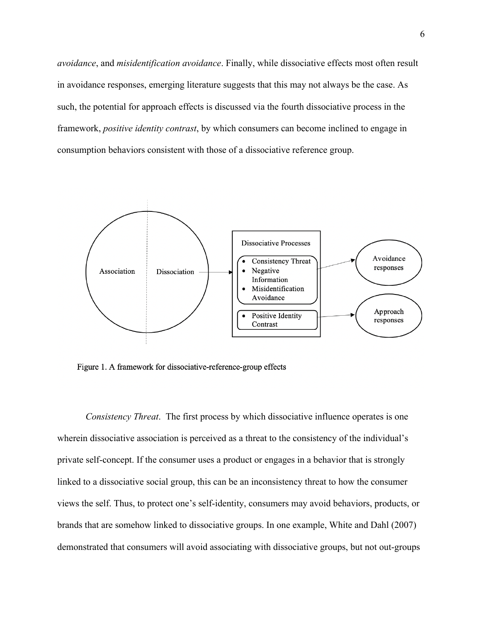*avoidance*, and *misidentification avoidance*. Finally, while dissociative effects most often result in avoidance responses, emerging literature suggests that this may not always be the case. As such, the potential for approach effects is discussed via the fourth dissociative process in the framework, *positive identity contrast*, by which consumers can become inclined to engage in consumption behaviors consistent with those of a dissociative reference group.



Figure 1. A framework for dissociative-reference-group effects

*Consistency Threat*. The first process by which dissociative influence operates is one wherein dissociative association is perceived as a threat to the consistency of the individual's private self-concept. If the consumer uses a product or engages in a behavior that is strongly linked to a dissociative social group, this can be an inconsistency threat to how the consumer views the self. Thus, to protect one's self-identity, consumers may avoid behaviors, products, or brands that are somehow linked to dissociative groups. In one example, White and Dahl (2007) demonstrated that consumers will avoid associating with dissociative groups, but not out-groups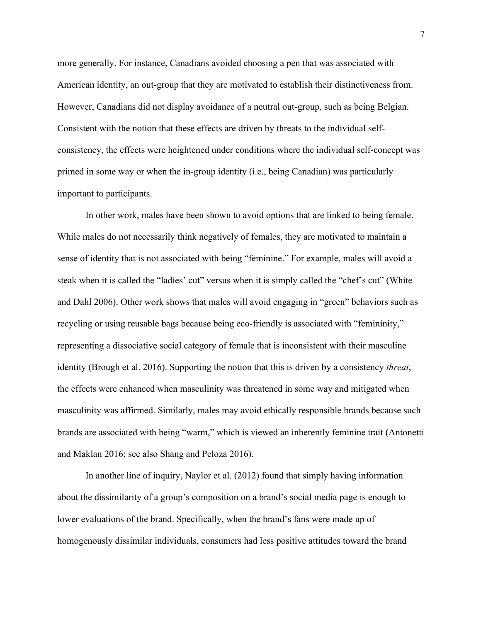more generally. For instance, Canadians avoided choosing a pen that was associated with American identity, an out-group that they are motivated to establish their distinctiveness from. However, Canadians did not display avoidance of a neutral out-group, such as being Belgian. Consistent with the notion that these effects are driven by threats to the individual selfconsistency, the effects were heightened under conditions where the individual self-concept was primed in some way or when the in-group identity (i.e., being Canadian) was particularly important to participants.

In other work, males have been shown to avoid options that are linked to being female. While males do not necessarily think negatively of females, they are motivated to maintain a sense of identity that is not associated with being "feminine." For example, males will avoid a steak when it is called the "ladies' cut" versus when it is simply called the "chef's cut" (White and Dahl 2006). Other work shows that males will avoid engaging in "green" behaviors such as recycling or using reusable bags because being eco-friendly is associated with "femininity," representing a dissociative social category of female that is inconsistent with their masculine identity (Brough et al. 2016). Supporting the notion that this is driven by a consistency *threat*, the effects were enhanced when masculinity was threatened in some way and mitigated when masculinity was affirmed. Similarly, males may avoid ethically responsible brands because such brands are associated with being "warm," which is viewed an inherently feminine trait (Antonetti and Maklan 2016; see also Shang and Peloza 2016).

In another line of inquiry, Naylor et al. (2012) found that simply having information about the dissimilarity of a group's composition on a brand's social media page is enough to lower evaluations of the brand. Specifically, when the brand's fans were made up of homogenously dissimilar individuals, consumers had less positive attitudes toward the brand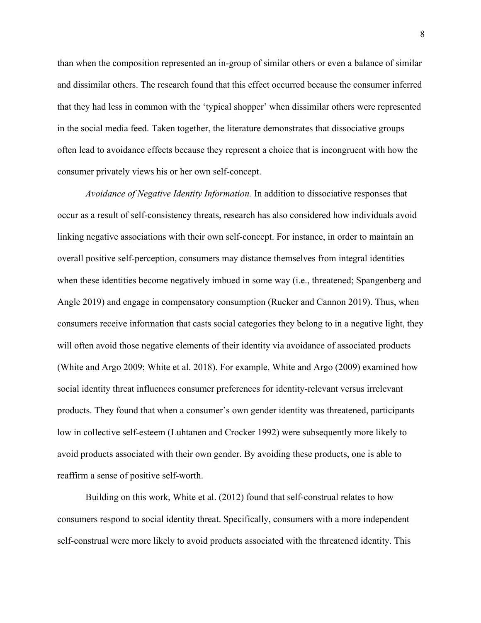than when the composition represented an in-group of similar others or even a balance of similar and dissimilar others. The research found that this effect occurred because the consumer inferred that they had less in common with the 'typical shopper' when dissimilar others were represented in the social media feed. Taken together, the literature demonstrates that dissociative groups often lead to avoidance effects because they represent a choice that is incongruent with how the consumer privately views his or her own self-concept.

*Avoidance of Negative Identity Information.* In addition to dissociative responses that occur as a result of self-consistency threats, research has also considered how individuals avoid linking negative associations with their own self-concept. For instance, in order to maintain an overall positive self-perception, consumers may distance themselves from integral identities when these identities become negatively imbued in some way (i.e., threatened; Spangenberg and Angle 2019) and engage in compensatory consumption (Rucker and Cannon 2019). Thus, when consumers receive information that casts social categories they belong to in a negative light, they will often avoid those negative elements of their identity via avoidance of associated products (White and Argo 2009; White et al. 2018). For example, White and Argo (2009) examined how social identity threat influences consumer preferences for identity-relevant versus irrelevant products. They found that when a consumer's own gender identity was threatened, participants low in collective self-esteem (Luhtanen and Crocker 1992) were subsequently more likely to avoid products associated with their own gender. By avoiding these products, one is able to reaffirm a sense of positive self-worth.

Building on this work, White et al. (2012) found that self-construal relates to how consumers respond to social identity threat. Specifically, consumers with a more independent self-construal were more likely to avoid products associated with the threatened identity. This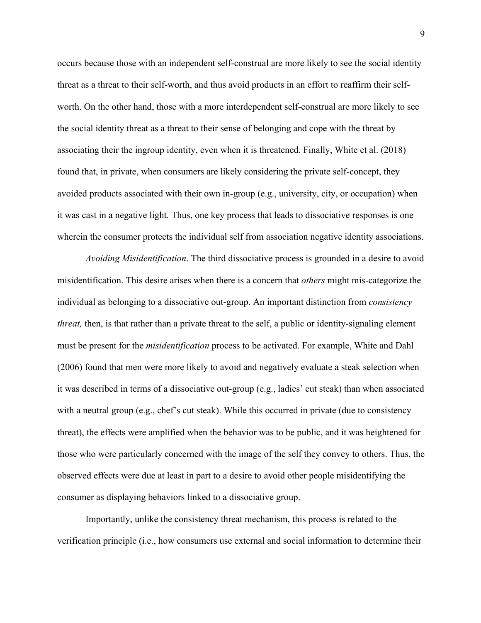occurs because those with an independent self-construal are more likely to see the social identity threat as a threat to their self-worth, and thus avoid products in an effort to reaffirm their selfworth. On the other hand, those with a more interdependent self-construal are more likely to see the social identity threat as a threat to their sense of belonging and cope with the threat by associating their the ingroup identity, even when it is threatened. Finally, White et al. (2018) found that, in private, when consumers are likely considering the private self-concept, they avoided products associated with their own in-group (e.g., university, city, or occupation) when it was cast in a negative light. Thus, one key process that leads to dissociative responses is one wherein the consumer protects the individual self from association negative identity associations.

*Avoiding Misidentification*. The third dissociative process is grounded in a desire to avoid misidentification. This desire arises when there is a concern that *others* might mis-categorize the individual as belonging to a dissociative out-group. An important distinction from *consistency threat,* then, is that rather than a private threat to the self, a public or identity-signaling element must be present for the *misidentification* process to be activated. For example, White and Dahl (2006) found that men were more likely to avoid and negatively evaluate a steak selection when it was described in terms of a dissociative out-group (e.g., ladies' cut steak) than when associated with a neutral group (e.g., chef's cut steak). While this occurred in private (due to consistency threat), the effects were amplified when the behavior was to be public, and it was heightened for those who were particularly concerned with the image of the self they convey to others. Thus, the observed effects were due at least in part to a desire to avoid other people misidentifying the consumer as displaying behaviors linked to a dissociative group.

Importantly, unlike the consistency threat mechanism, this process is related to the verification principle (i.e., how consumers use external and social information to determine their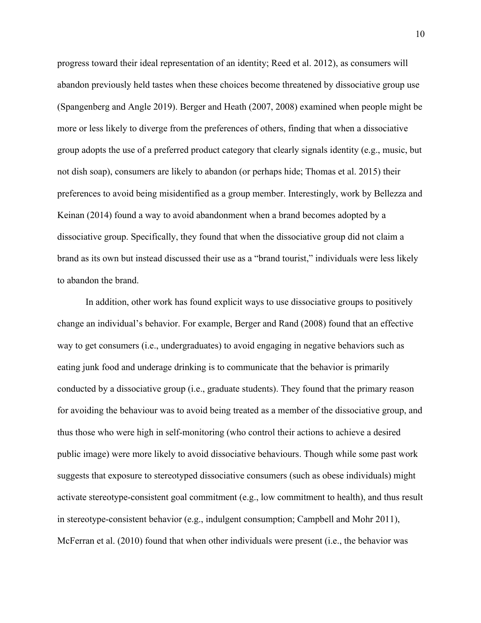progress toward their ideal representation of an identity; Reed et al. 2012), as consumers will abandon previously held tastes when these choices become threatened by dissociative group use (Spangenberg and Angle 2019). Berger and Heath (2007, 2008) examined when people might be more or less likely to diverge from the preferences of others, finding that when a dissociative group adopts the use of a preferred product category that clearly signals identity (e.g., music, but not dish soap), consumers are likely to abandon (or perhaps hide; Thomas et al. 2015) their preferences to avoid being misidentified as a group member. Interestingly, work by Bellezza and Keinan (2014) found a way to avoid abandonment when a brand becomes adopted by a dissociative group. Specifically, they found that when the dissociative group did not claim a brand as its own but instead discussed their use as a "brand tourist," individuals were less likely to abandon the brand.

In addition, other work has found explicit ways to use dissociative groups to positively change an individual's behavior. For example, Berger and Rand (2008) found that an effective way to get consumers (i.e., undergraduates) to avoid engaging in negative behaviors such as eating junk food and underage drinking is to communicate that the behavior is primarily conducted by a dissociative group (i.e., graduate students). They found that the primary reason for avoiding the behaviour was to avoid being treated as a member of the dissociative group, and thus those who were high in self-monitoring (who control their actions to achieve a desired public image) were more likely to avoid dissociative behaviours. Though while some past work suggests that exposure to stereotyped dissociative consumers (such as obese individuals) might activate stereotype-consistent goal commitment (e.g., low commitment to health), and thus result in stereotype-consistent behavior (e.g., indulgent consumption; Campbell and Mohr 2011), McFerran et al. (2010) found that when other individuals were present (i.e., the behavior was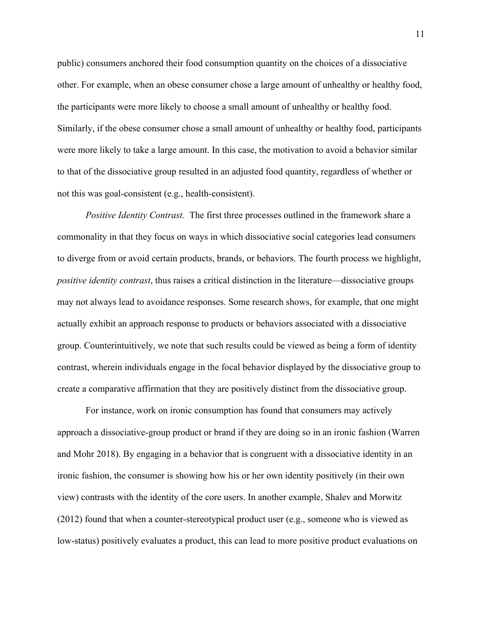public) consumers anchored their food consumption quantity on the choices of a dissociative other. For example, when an obese consumer chose a large amount of unhealthy or healthy food, the participants were more likely to choose a small amount of unhealthy or healthy food. Similarly, if the obese consumer chose a small amount of unhealthy or healthy food, participants were more likely to take a large amount. In this case, the motivation to avoid a behavior similar to that of the dissociative group resulted in an adjusted food quantity, regardless of whether or not this was goal-consistent (e.g., health-consistent).

*Positive Identity Contrast.* The first three processes outlined in the framework share a commonality in that they focus on ways in which dissociative social categories lead consumers to diverge from or avoid certain products, brands, or behaviors. The fourth process we highlight, *positive identity contrast*, thus raises a critical distinction in the literature—dissociative groups may not always lead to avoidance responses. Some research shows, for example, that one might actually exhibit an approach response to products or behaviors associated with a dissociative group. Counterintuitively, we note that such results could be viewed as being a form of identity contrast, wherein individuals engage in the focal behavior displayed by the dissociative group to create a comparative affirmation that they are positively distinct from the dissociative group.

For instance, work on ironic consumption has found that consumers may actively approach a dissociative-group product or brand if they are doing so in an ironic fashion (Warren and Mohr 2018). By engaging in a behavior that is congruent with a dissociative identity in an ironic fashion, the consumer is showing how his or her own identity positively (in their own view) contrasts with the identity of the core users. In another example, Shalev and Morwitz (2012) found that when a counter-stereotypical product user (e.g., someone who is viewed as low-status) positively evaluates a product, this can lead to more positive product evaluations on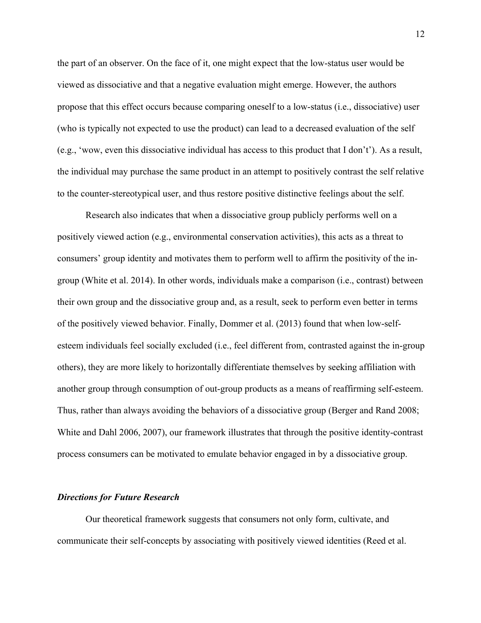the part of an observer. On the face of it, one might expect that the low-status user would be viewed as dissociative and that a negative evaluation might emerge. However, the authors propose that this effect occurs because comparing oneself to a low-status (i.e., dissociative) user (who is typically not expected to use the product) can lead to a decreased evaluation of the self (e.g., 'wow, even this dissociative individual has access to this product that I don't'). As a result, the individual may purchase the same product in an attempt to positively contrast the self relative to the counter-stereotypical user, and thus restore positive distinctive feelings about the self.

Research also indicates that when a dissociative group publicly performs well on a positively viewed action (e.g., environmental conservation activities), this acts as a threat to consumers' group identity and motivates them to perform well to affirm the positivity of the ingroup (White et al. 2014). In other words, individuals make a comparison (i.e., contrast) between their own group and the dissociative group and, as a result, seek to perform even better in terms of the positively viewed behavior. Finally, Dommer et al. (2013) found that when low-selfesteem individuals feel socially excluded (i.e., feel different from, contrasted against the in-group others), they are more likely to horizontally differentiate themselves by seeking affiliation with another group through consumption of out-group products as a means of reaffirming self-esteem. Thus, rather than always avoiding the behaviors of a dissociative group (Berger and Rand 2008; White and Dahl 2006, 2007), our framework illustrates that through the positive identity-contrast process consumers can be motivated to emulate behavior engaged in by a dissociative group.

#### *Directions for Future Research*

Our theoretical framework suggests that consumers not only form, cultivate, and communicate their self-concepts by associating with positively viewed identities (Reed et al.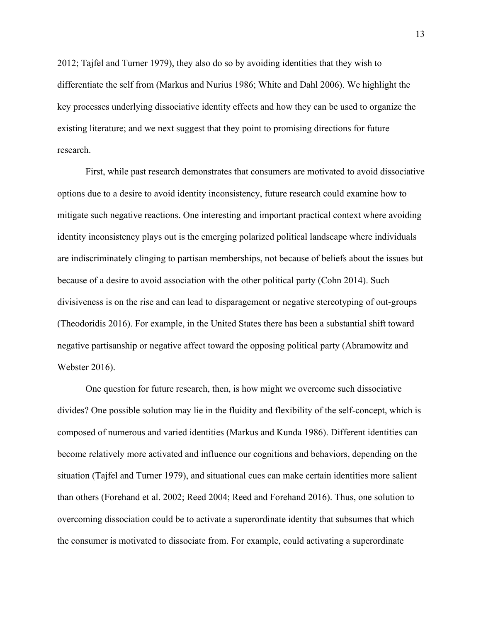2012; Tajfel and Turner 1979), they also do so by avoiding identities that they wish to differentiate the self from (Markus and Nurius 1986; White and Dahl 2006). We highlight the key processes underlying dissociative identity effects and how they can be used to organize the existing literature; and we next suggest that they point to promising directions for future research.

First, while past research demonstrates that consumers are motivated to avoid dissociative options due to a desire to avoid identity inconsistency, future research could examine how to mitigate such negative reactions. One interesting and important practical context where avoiding identity inconsistency plays out is the emerging polarized political landscape where individuals are indiscriminately clinging to partisan memberships, not because of beliefs about the issues but because of a desire to avoid association with the other political party (Cohn 2014). Such divisiveness is on the rise and can lead to disparagement or negative stereotyping of out-groups (Theodoridis 2016). For example, in the United States there has been a substantial shift toward negative partisanship or negative affect toward the opposing political party (Abramowitz and Webster 2016).

One question for future research, then, is how might we overcome such dissociative divides? One possible solution may lie in the fluidity and flexibility of the self-concept, which is composed of numerous and varied identities (Markus and Kunda 1986). Different identities can become relatively more activated and influence our cognitions and behaviors, depending on the situation (Tajfel and Turner 1979), and situational cues can make certain identities more salient than others (Forehand et al. 2002; Reed 2004; Reed and Forehand 2016). Thus, one solution to overcoming dissociation could be to activate a superordinate identity that subsumes that which the consumer is motivated to dissociate from. For example, could activating a superordinate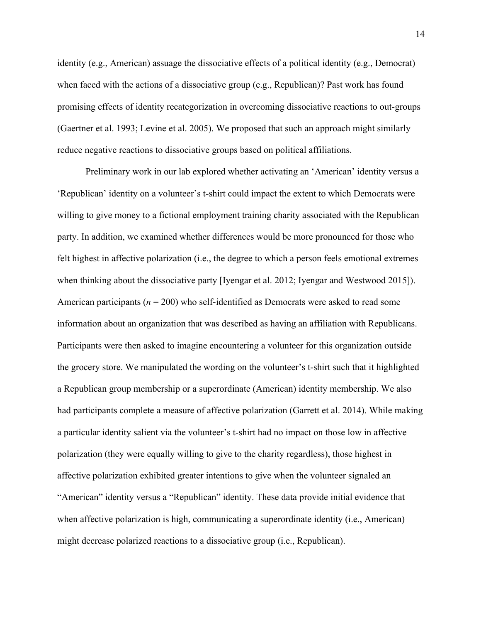identity (e.g., American) assuage the dissociative effects of a political identity (e.g., Democrat) when faced with the actions of a dissociative group (e.g., Republican)? Past work has found promising effects of identity recategorization in overcoming dissociative reactions to out-groups (Gaertner et al. 1993; Levine et al. 2005). We proposed that such an approach might similarly reduce negative reactions to dissociative groups based on political affiliations.

Preliminary work in our lab explored whether activating an 'American' identity versus a 'Republican' identity on a volunteer's t-shirt could impact the extent to which Democrats were willing to give money to a fictional employment training charity associated with the Republican party. In addition, we examined whether differences would be more pronounced for those who felt highest in affective polarization (i.e., the degree to which a person feels emotional extremes when thinking about the dissociative party [Iyengar et al. 2012; Iyengar and Westwood 2015]). American participants (*n* = 200) who self-identified as Democrats were asked to read some information about an organization that was described as having an affiliation with Republicans. Participants were then asked to imagine encountering a volunteer for this organization outside the grocery store. We manipulated the wording on the volunteer's t-shirt such that it highlighted a Republican group membership or a superordinate (American) identity membership. We also had participants complete a measure of affective polarization (Garrett et al. 2014). While making a particular identity salient via the volunteer's t-shirt had no impact on those low in affective polarization (they were equally willing to give to the charity regardless), those highest in affective polarization exhibited greater intentions to give when the volunteer signaled an "American" identity versus a "Republican" identity. These data provide initial evidence that when affective polarization is high, communicating a superordinate identity (i.e., American) might decrease polarized reactions to a dissociative group (i.e., Republican).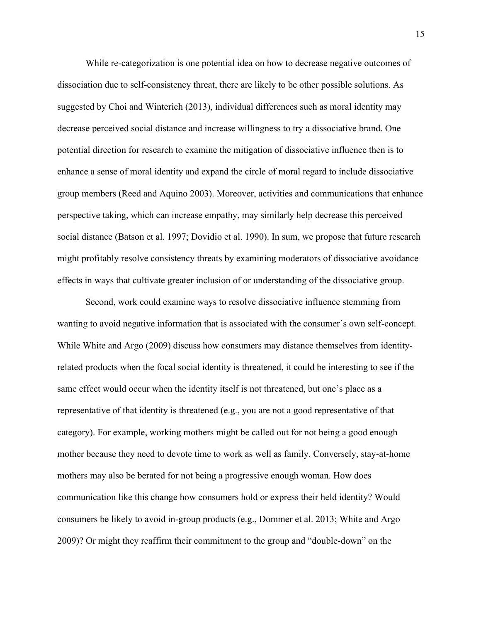While re-categorization is one potential idea on how to decrease negative outcomes of dissociation due to self-consistency threat, there are likely to be other possible solutions. As suggested by Choi and Winterich (2013), individual differences such as moral identity may decrease perceived social distance and increase willingness to try a dissociative brand. One potential direction for research to examine the mitigation of dissociative influence then is to enhance a sense of moral identity and expand the circle of moral regard to include dissociative group members (Reed and Aquino 2003). Moreover, activities and communications that enhance perspective taking, which can increase empathy, may similarly help decrease this perceived social distance (Batson et al. 1997; Dovidio et al. 1990). In sum, we propose that future research might profitably resolve consistency threats by examining moderators of dissociative avoidance effects in ways that cultivate greater inclusion of or understanding of the dissociative group.

Second, work could examine ways to resolve dissociative influence stemming from wanting to avoid negative information that is associated with the consumer's own self-concept. While White and Argo (2009) discuss how consumers may distance themselves from identityrelated products when the focal social identity is threatened, it could be interesting to see if the same effect would occur when the identity itself is not threatened, but one's place as a representative of that identity is threatened (e.g., you are not a good representative of that category). For example, working mothers might be called out for not being a good enough mother because they need to devote time to work as well as family. Conversely, stay-at-home mothers may also be berated for not being a progressive enough woman. How does communication like this change how consumers hold or express their held identity? Would consumers be likely to avoid in-group products (e.g., Dommer et al. 2013; White and Argo 2009)? Or might they reaffirm their commitment to the group and "double-down" on the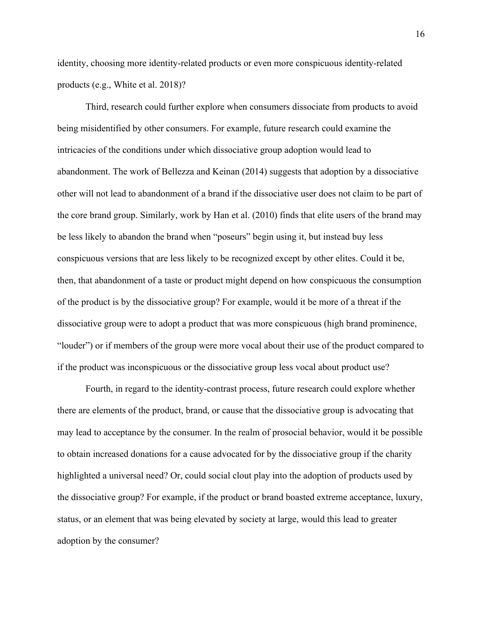identity, choosing more identity-related products or even more conspicuous identity-related products (e.g., White et al. 2018)?

Third, research could further explore when consumers dissociate from products to avoid being misidentified by other consumers. For example, future research could examine the intricacies of the conditions under which dissociative group adoption would lead to abandonment. The work of Bellezza and Keinan (2014) suggests that adoption by a dissociative other will not lead to abandonment of a brand if the dissociative user does not claim to be part of the core brand group. Similarly, work by Han et al. (2010) finds that elite users of the brand may be less likely to abandon the brand when "poseurs" begin using it, but instead buy less conspicuous versions that are less likely to be recognized except by other elites. Could it be, then, that abandonment of a taste or product might depend on how conspicuous the consumption of the product is by the dissociative group? For example, would it be more of a threat if the dissociative group were to adopt a product that was more conspicuous (high brand prominence, "louder") or if members of the group were more vocal about their use of the product compared to if the product was inconspicuous or the dissociative group less vocal about product use?

Fourth, in regard to the identity-contrast process, future research could explore whether there are elements of the product, brand, or cause that the dissociative group is advocating that may lead to acceptance by the consumer. In the realm of prosocial behavior, would it be possible to obtain increased donations for a cause advocated for by the dissociative group if the charity highlighted a universal need? Or, could social clout play into the adoption of products used by the dissociative group? For example, if the product or brand boasted extreme acceptance, luxury, status, or an element that was being elevated by society at large, would this lead to greater adoption by the consumer?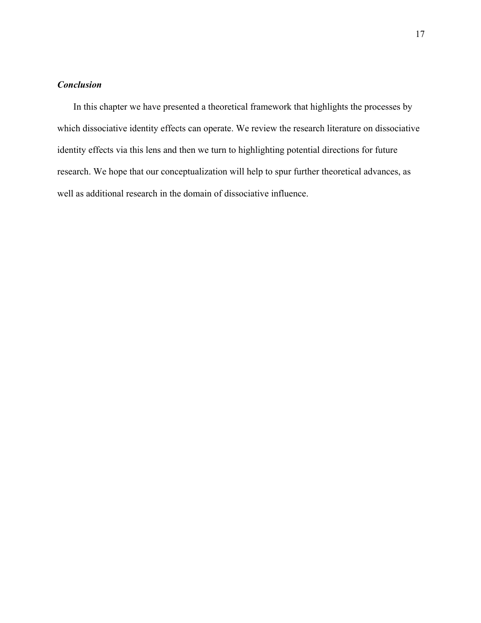## *Conclusion*

In this chapter we have presented a theoretical framework that highlights the processes by which dissociative identity effects can operate. We review the research literature on dissociative identity effects via this lens and then we turn to highlighting potential directions for future research. We hope that our conceptualization will help to spur further theoretical advances, as well as additional research in the domain of dissociative influence.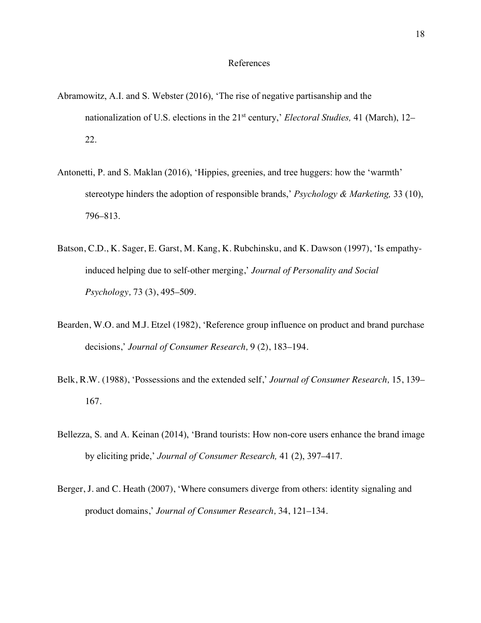#### References

- Abramowitz, A.I. and S. Webster (2016), 'The rise of negative partisanship and the nationalization of U.S. elections in the 21st century,' *Electoral Studies,* 41 (March), 12– 22.
- Antonetti, P. and S. Maklan (2016), 'Hippies, greenies, and tree huggers: how the 'warmth' stereotype hinders the adoption of responsible brands,' *Psychology & Marketing,* 33 (10), 796–813.
- Batson, C.D., K. Sager, E. Garst, M. Kang, K. Rubchinsku, and K. Dawson (1997), 'Is empathyinduced helping due to self-other merging,' *Journal of Personality and Social Psychology,* 73 (3), 495–509.
- Bearden, W.O. and M.J. Etzel (1982), 'Reference group influence on product and brand purchase decisions,' *Journal of Consumer Research,* 9 (2), 183–194.
- Belk, R.W. (1988), 'Possessions and the extended self,' *Journal of Consumer Research,* 15, 139– 167.
- Bellezza, S. and A. Keinan (2014), 'Brand tourists: How non-core users enhance the brand image by eliciting pride,' *Journal of Consumer Research,* 41 (2), 397–417.
- Berger, J. and C. Heath (2007), 'Where consumers diverge from others: identity signaling and product domains,' *Journal of Consumer Research,* 34, 121–134.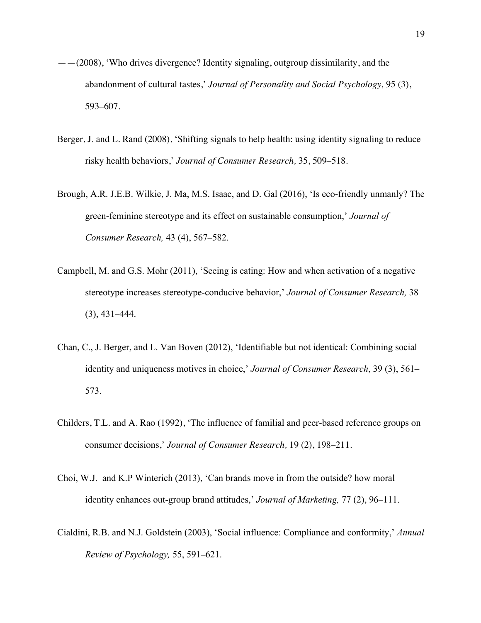- ——(2008), 'Who drives divergence? Identity signaling, outgroup dissimilarity, and the abandonment of cultural tastes,' *Journal of Personality and Social Psychology,* 95 (3), 593–607.
- Berger, J. and L. Rand (2008), 'Shifting signals to help health: using identity signaling to reduce risky health behaviors,' *Journal of Consumer Research,* 35, 509–518.
- Brough, A.R. J.E.B. Wilkie, J. Ma, M.S. Isaac, and D. Gal (2016), 'Is eco-friendly unmanly? The green-feminine stereotype and its effect on sustainable consumption,' *Journal of Consumer Research,* 43 (4), 567–582.
- Campbell, M. and G.S. Mohr (2011), 'Seeing is eating: How and when activation of a negative stereotype increases stereotype-conducive behavior,' *Journal of Consumer Research,* 38 (3), 431–444.
- Chan, C., J. Berger, and L. Van Boven (2012), 'Identifiable but not identical: Combining social identity and uniqueness motives in choice,' *Journal of Consumer Research*, 39 (3), 561– 573.
- Childers, T.L. and A. Rao (1992), 'The influence of familial and peer-based reference groups on consumer decisions,' *Journal of Consumer Research,* 19 (2), 198–211.
- Choi, W.J. and K.P Winterich (2013), 'Can brands move in from the outside? how moral identity enhances out-group brand attitudes,' *Journal of Marketing,* 77 (2), 96–111.
- Cialdini, R.B. and N.J. Goldstein (2003), 'Social influence: Compliance and conformity,' *Annual Review of Psychology,* 55, 591–621.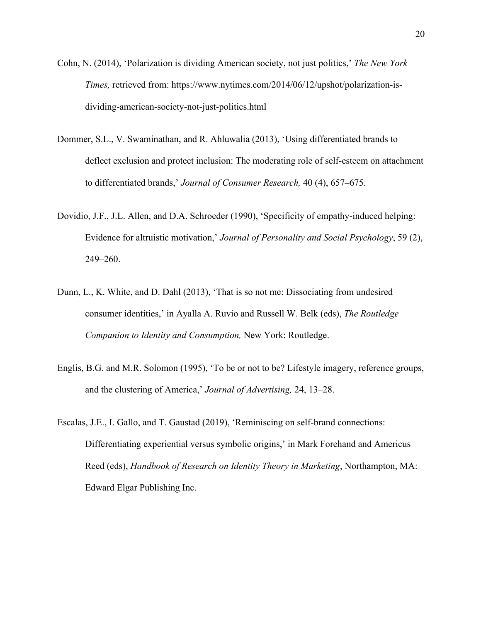- Cohn, N. (2014), 'Polarization is dividing American society, not just politics,' *The New York Times,* retrieved from: https://www.nytimes.com/2014/06/12/upshot/polarization-isdividing-american-society-not-just-politics.html
- Dommer, S.L., V. Swaminathan, and R. Ahluwalia (2013), 'Using differentiated brands to deflect exclusion and protect inclusion: The moderating role of self-esteem on attachment to differentiated brands,' *Journal of Consumer Research,* 40 (4), 657–675.
- Dovidio, J.F., J.L. Allen, and D.A. Schroeder (1990), 'Specificity of empathy-induced helping: Evidence for altruistic motivation,' *Journal of Personality and Social Psychology*, 59 (2), 249–260.
- Dunn, L., K. White, and D. Dahl (2013), 'That is so not me: Dissociating from undesired consumer identities,' in Ayalla A. Ruvio and Russell W. Belk (eds), *The Routledge Companion to Identity and Consumption,* New York: Routledge.
- Englis, B.G. and M.R. Solomon (1995), 'To be or not to be? Lifestyle imagery, reference groups, and the clustering of America,' *Journal of Advertising,* 24, 13–28.
- Escalas, J.E., I. Gallo, and T. Gaustad (2019), 'Reminiscing on self-brand connections: Differentiating experiential versus symbolic origins,' in Mark Forehand and Americus Reed (eds), *Handbook of Research on Identity Theory in Marketing*, Northampton, MA: Edward Elgar Publishing Inc.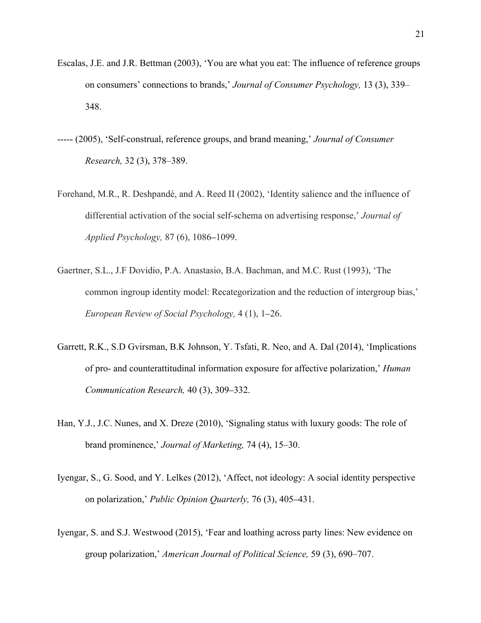- Escalas, J.E. and J.R. Bettman (2003), 'You are what you eat: The influence of reference groups on consumers' connections to brands,' *Journal of Consumer Psychology,* 13 (3), 339– 348.
- ----- (2005), 'Self-construal, reference groups, and brand meaning,' *Journal of Consumer Research,* 32 (3), 378–389.
- Forehand, M.R., R. Deshpandé, and A. Reed II (2002), 'Identity salience and the influence of differential activation of the social self-schema on advertising response,' *Journal of Applied Psychology,* 87 (6), 1086–1099.
- Gaertner, S.L., J.F Dovidio, P.A. Anastasio, B.A. Bachman, and M.C. Rust (1993), 'The common ingroup identity model: Recategorization and the reduction of intergroup bias,' *European Review of Social Psychology,* 4 (1), 1–26.
- Garrett, R.K., S.D Gvirsman, B.K Johnson, Y. Tsfati, R. Neo, and A. Dal (2014), 'Implications of pro- and counterattitudinal information exposure for affective polarization,' *Human Communication Research,* 40 (3), 309–332.
- Han, Y.J., J.C. Nunes, and X. Dreze (2010), 'Signaling status with luxury goods: The role of brand prominence,' *Journal of Marketing,* 74 (4), 15–30.
- Iyengar, S., G. Sood, and Y. Lelkes (2012), 'Affect, not ideology: A social identity perspective on polarization,' *Public Opinion Quarterly,* 76 (3), 405–431.
- Iyengar, S. and S.J. Westwood (2015), 'Fear and loathing across party lines: New evidence on group polarization,' *American Journal of Political Science,* 59 (3), 690–707.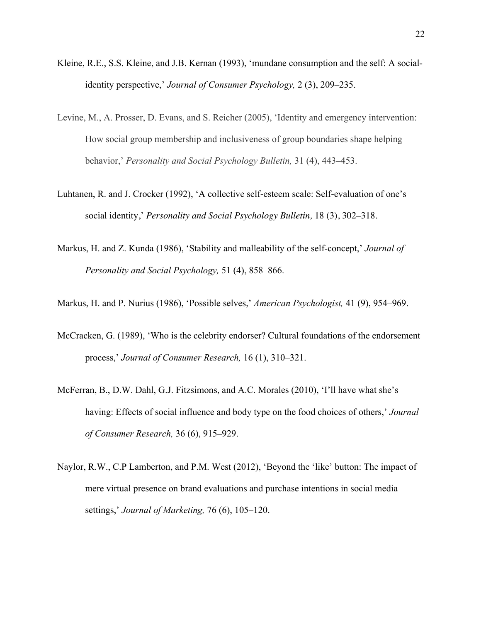- Kleine, R.E., S.S. Kleine, and J.B. Kernan (1993), 'mundane consumption and the self: A socialidentity perspective,' *Journal of Consumer Psychology,* 2 (3), 209–235.
- Levine, M., A. Prosser, D. Evans, and S. Reicher (2005), 'Identity and emergency intervention: How social group membership and inclusiveness of group boundaries shape helping behavior,' *Personality and Social Psychology Bulletin,* 31 (4), 443–453.
- Luhtanen, R. and J. Crocker (1992), 'A collective self-esteem scale: Self-evaluation of one's social identity,' *Personality and Social Psychology Bulletin,* 18 (3), 302–318.
- Markus, H. and Z. Kunda (1986), 'Stability and malleability of the self-concept,' *Journal of Personality and Social Psychology,* 51 (4), 858–866.
- Markus, H. and P. Nurius (1986), 'Possible selves,' *American Psychologist,* 41 (9), 954–969.
- McCracken, G. (1989), 'Who is the celebrity endorser? Cultural foundations of the endorsement process,' *Journal of Consumer Research,* 16 (1), 310–321.
- McFerran, B., D.W. Dahl, G.J. Fitzsimons, and A.C. Morales (2010), 'I'll have what she's having: Effects of social influence and body type on the food choices of others,' *Journal of Consumer Research,* 36 (6), 915–929.
- Naylor, R.W., C.P Lamberton, and P.M. West (2012), 'Beyond the 'like' button: The impact of mere virtual presence on brand evaluations and purchase intentions in social media settings,' *Journal of Marketing,* 76 (6), 105–120.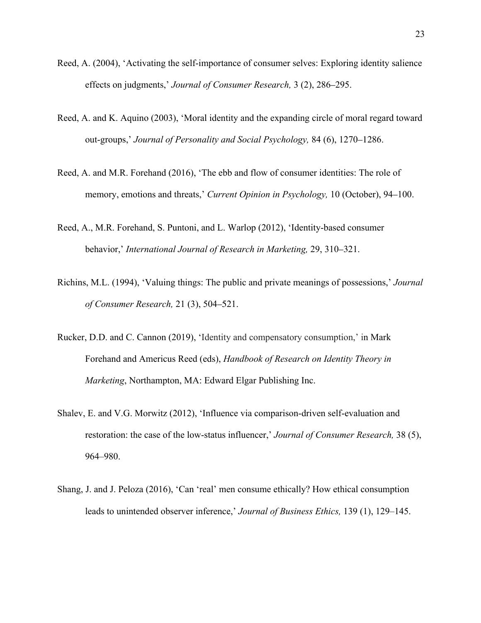- Reed, A. (2004), 'Activating the self-importance of consumer selves: Exploring identity salience effects on judgments,' *Journal of Consumer Research,* 3 (2), 286–295.
- Reed, A. and K. Aquino (2003), 'Moral identity and the expanding circle of moral regard toward out-groups,' *Journal of Personality and Social Psychology,* 84 (6), 1270–1286.
- Reed, A. and M.R. Forehand (2016), 'The ebb and flow of consumer identities: The role of memory, emotions and threats,' *Current Opinion in Psychology,* 10 (October), 94–100.
- Reed, A., M.R. Forehand, S. Puntoni, and L. Warlop (2012), 'Identity-based consumer behavior,' *International Journal of Research in Marketing,* 29, 310–321.
- Richins, M.L. (1994), 'Valuing things: The public and private meanings of possessions,' *Journal of Consumer Research,* 21 (3), 504–521.
- Rucker, D.D. and C. Cannon (2019), 'Identity and compensatory consumption,' in Mark Forehand and Americus Reed (eds), *Handbook of Research on Identity Theory in Marketing*, Northampton, MA: Edward Elgar Publishing Inc.
- Shalev, E. and V.G. Morwitz (2012), 'Influence via comparison-driven self-evaluation and restoration: the case of the low-status influencer,' *Journal of Consumer Research,* 38 (5), 964–980.
- Shang, J. and J. Peloza (2016), 'Can 'real' men consume ethically? How ethical consumption leads to unintended observer inference,' *Journal of Business Ethics,* 139 (1), 129–145.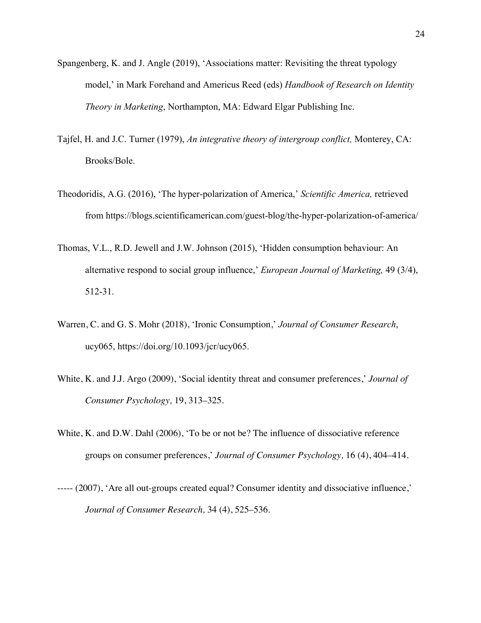- Spangenberg, K. and J. Angle (2019), 'Associations matter: Revisiting the threat typology model,' in Mark Forehand and Americus Reed (eds) *Handbook of Research on Identity Theory in Marketing*, Northampton, MA: Edward Elgar Publishing Inc.
- Tajfel, H. and J.C. Turner (1979), *An integrative theory of intergroup conflict,* Monterey, CA: Brooks/Bole.
- Theodoridis, A.G. (2016), 'The hyper-polarization of America,' *Scientific America,* retrieved from https://blogs.scientificamerican.com/guest-blog/the-hyper-polarization-of-america/
- Thomas, V.L., R.D. Jewell and J.W. Johnson (2015), 'Hidden consumption behaviour: An alternative respond to social group influence,' *European Journal of Marketing,* 49 (3/4), 512-31.
- Warren, C. and G. S. Mohr (2018), 'Ironic Consumption,' *Journal of Consumer Research*, ucy065, https://doi.org/10.1093/jcr/ucy065.
- White, K. and J.J. Argo (2009), 'Social identity threat and consumer preferences,' *Journal of Consumer Psychology,* 19, 313–325.
- White, K. and D.W. Dahl (2006), 'To be or not be? The influence of dissociative reference groups on consumer preferences,' *Journal of Consumer Psychology,* 16 (4), 404–414.
- ----- (2007), 'Are all out-groups created equal? Consumer identity and dissociative influence,' *Journal of Consumer Research,* 34 (4), 525–536.